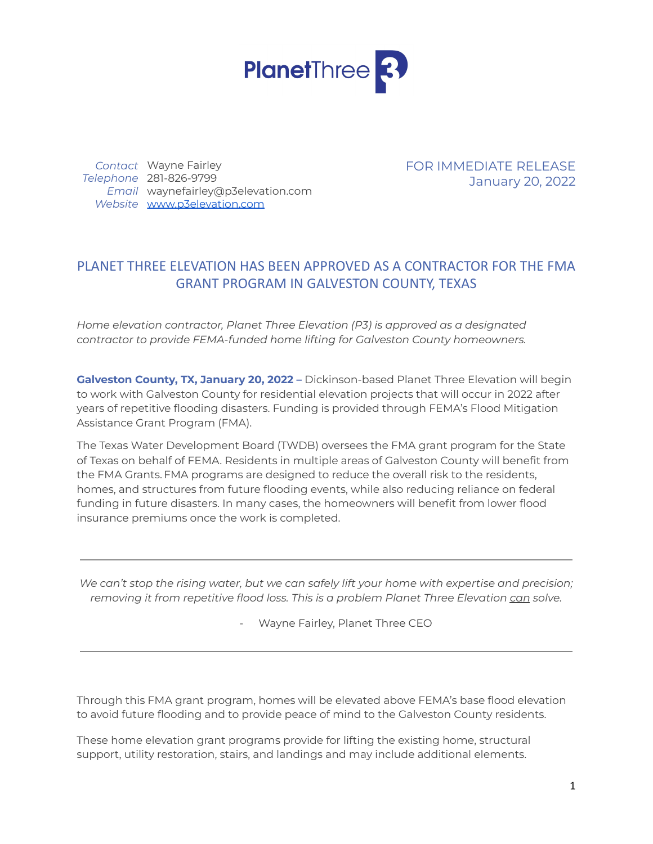

*Contact* Wayne Fairley *Telephone* 281-826-9799 *Email* waynefairley@p3elevation.com *Website* [www.p3elevation.com](http://www.p3elevation.com)

FOR IMMEDIATE RELEASE January 20, 2022

# PLANET THREE ELEVATION HAS BEEN APPROVED AS A CONTRACTOR FOR THE FMA GRANT PROGRAM IN GALVESTON COUNTY, TEXAS

*Home elevation contractor, Planet Three Elevation (P3) is approved as a designated contractor to provide FEMA-funded home lifting for Galveston County homeowners.*

**Galveston County, TX, January 20, 2022 –** Dickinson-based Planet Three Elevation will begin to work with Galveston County for residential elevation projects that will occur in 2022 after years of repetitive flooding disasters. Funding is provided through FEMA's Flood Mitigation Assistance Grant Program (FMA).

The Texas Water Development Board (TWDB) oversees the FMA grant program for the State of Texas on behalf of FEMA. Residents in multiple areas of Galveston County will benefit from the FMA Grants.FMA programs are designed to reduce the overall risk to the residents, homes, and structures from future flooding events, while also reducing reliance on federal funding in future disasters. In many cases, the homeowners will benefit from lower flood insurance premiums once the work is completed.

*We can't stop the rising water, but we can safely lift your home with expertise and precision; removing it from repetitive flood loss. This is a problem Planet Three Elevation can solve.*

Wayne Fairley, Planet Three CEO

Through this FMA grant program, homes will be elevated above FEMA's base flood elevation to avoid future flooding and to provide peace of mind to the Galveston County residents.

These home elevation grant programs provide for lifting the existing home, structural support, utility restoration, stairs, and landings and may include additional elements.